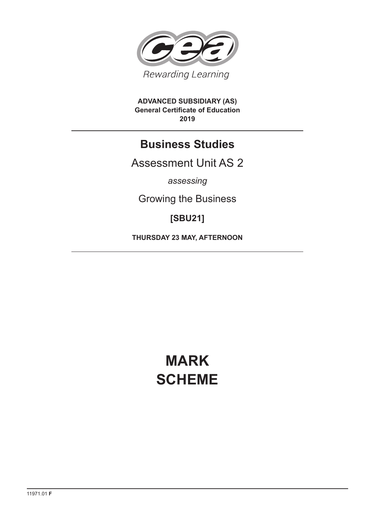

**ADVANCED SUBSIDIARY (AS) General Certificate of Education 2019**

# **Business Studies**

Assessment Unit AS 2

*assessing*

Growing the Business

**[SBU21]**

**THURSDAY 23 MAY, AFTERNOON**

# **MARK SCHEME**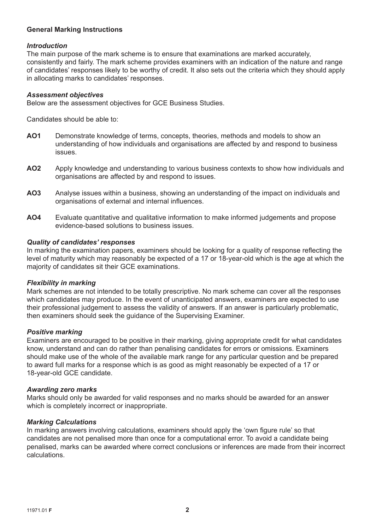#### **General Marking Instructions**

#### *Introduction*

The main purpose of the mark scheme is to ensure that examinations are marked accurately, consistently and fairly. The mark scheme provides examiners with an indication of the nature and range of candidates' responses likely to be worthy of credit. It also sets out the criteria which they should apply in allocating marks to candidates' responses.

#### *Assessment objectives*

Below are the assessment objectives for GCE Business Studies.

Candidates should be able to:

- **AO1** Demonstrate knowledge of terms, concepts, theories, methods and models to show an understanding of how individuals and organisations are affected by and respond to business issues.
- **AO2** Apply knowledge and understanding to various business contexts to show how individuals and organisations are affected by and respond to issues.
- **AO3** Analyse issues within a business, showing an understanding of the impact on individuals and organisations of external and internal influences.
- **AO4** Evaluate quantitative and qualitative information to make informed judgements and propose evidence-based solutions to business issues.

#### *Quality of candidates' responses*

In marking the examination papers, examiners should be looking for a quality of response reflecting the level of maturity which may reasonably be expected of a 17 or 18-year-old which is the age at which the majority of candidates sit their GCE examinations.

#### *Flexibility in marking*

Mark schemes are not intended to be totally prescriptive. No mark scheme can cover all the responses which candidates may produce. In the event of unanticipated answers, examiners are expected to use their professional judgement to assess the validity of answers. If an answer is particularly problematic, then examiners should seek the guidance of the Supervising Examiner.

#### *Positive marking*

Examiners are encouraged to be positive in their marking, giving appropriate credit for what candidates know, understand and can do rather than penalising candidates for errors or omissions. Examiners should make use of the whole of the available mark range for any particular question and be prepared to award full marks for a response which is as good as might reasonably be expected of a 17 or 18-year-old GCE candidate.

#### *Awarding zero marks*

Marks should only be awarded for valid responses and no marks should be awarded for an answer which is completely incorrect or inappropriate.

#### *Marking Calculations*

In marking answers involving calculations, examiners should apply the 'own figure rule' so that candidates are not penalised more than once for a computational error. To avoid a candidate being penalised, marks can be awarded where correct conclusions or inferences are made from their incorrect calculations.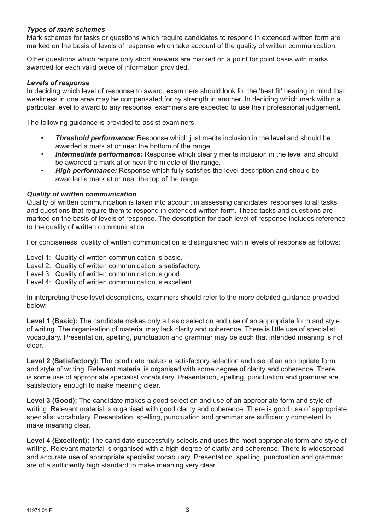#### *Types of mark schemes*

Mark schemes for tasks or questions which require candidates to respond in extended written form are marked on the basis of levels of response which take account of the quality of written communication.

Other questions which require only short answers are marked on a point for point basis with marks awarded for each valid piece of information provided.

#### *Levels of response*

In deciding which level of response to award, examiners should look for the 'best fit' bearing in mind that weakness in one area may be compensated for by strength in another. In deciding which mark within a particular level to award to any response, examiners are expected to use their professional judgement.

The following guidance is provided to assist examiners.

- *Threshold performance:* Response which just merits inclusion in the level and should be awarded a mark at or near the bottom of the range.
- *Intermediate performance:* Response which clearly merits inclusion in the level and should be awarded a mark at or near the middle of the range.
- *High performance:* Response which fully satisfies the level description and should be awarded a mark at or near the top of the range.

#### *Quality of written communication*

Quality of written communication is taken into account in assessing candidates' responses to all tasks and questions that require them to respond in extended written form. These tasks and questions are marked on the basis of levels of response. The description for each level of response includes reference to the quality of written communication.

For conciseness, quality of written communication is distinguished within levels of response as follows:

Level 1: Quality of written communication is basic.

- Level 2: Quality of written communication is satisfactory.
- Level 3: Quality of written communication is good.
- Level 4: Quality of written communication is excellent.

In interpreting these level descriptions, examiners should refer to the more detailed guidance provided below:

**Level 1 (Basic):** The candidate makes only a basic selection and use of an appropriate form and style of writing. The organisation of material may lack clarity and coherence. There is little use of specialist vocabulary. Presentation, spelling, punctuation and grammar may be such that intended meaning is not clear.

**Level 2 (Satisfactory):** The candidate makes a satisfactory selection and use of an appropriate form and style of writing. Relevant material is organised with some degree of clarity and coherence. There is some use of appropriate specialist vocabulary. Presentation, spelling, punctuation and grammar are satisfactory enough to make meaning clear.

**Level 3 (Good):** The candidate makes a good selection and use of an appropriate form and style of writing. Relevant material is organised with good clarity and coherence. There is good use of appropriate specialist vocabulary. Presentation, spelling, punctuation and grammar are sufficiently competent to make meaning clear.

Level 4 (Excellent): The candidate successfully selects and uses the most appropriate form and style of writing. Relevant material is organised with a high degree of clarity and coherence. There is widespread and accurate use of appropriate specialist vocabulary. Presentation, spelling, punctuation and grammar are of a sufficiently high standard to make meaning very clear.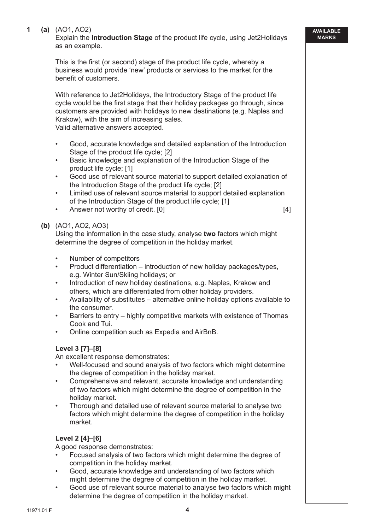#### **1 (a)** (AO1, AO2)

Explain the **Introduction Stage** of the product life cycle, using Jet2Holidays as an example.

This is the first (or second) stage of the product life cycle, whereby a business would provide 'new' products or services to the market for the benefit of customers

 With reference to Jet2Holidays, the Introductory Stage of the product life cycle would be the first stage that their holiday packages go through, since customers are provided with holidays to new destinations (e.g. Naples and Krakow), with the aim of increasing sales. Valid alternative answers accepted.

- Good, accurate knowledge and detailed explanation of the Introduction Stage of the product life cycle; [2]
- Basic knowledge and explanation of the Introduction Stage of the product life cycle; [1]
- Good use of relevant source material to support detailed explanation of the Introduction Stage of the product life cycle; [2]
- Limited use of relevant source material to support detailed explanation of the Introduction Stage of the product life cycle; [1]
- Answer not worthy of credit. [0] **Example 20 Example 20 CALCE** [4]

**AVAILABLE MARKS**

#### **(b)** (AO1, AO2, AO3)

 Using the information in the case study, analyse **two** factors which might determine the degree of competition in the holiday market.

- Number of competitors
- Product differentiation introduction of new holiday packages/types, e.g. Winter Sun/Skiing holidays; or
- Introduction of new holiday destinations, e.g. Naples, Krakow and others, which are differentiated from other holiday providers.
- Availability of substitutes alternative online holiday options available to the consumer.
- Barriers to entry highly competitive markets with existence of Thomas Cook and Tui.
- Online competition such as Expedia and AirBnB.

### **Level 3 [7]–[8]**

An excellent response demonstrates:

- Well-focused and sound analysis of two factors which might determine the degree of competition in the holiday market.
- Comprehensive and relevant, accurate knowledge and understanding of two factors which might determine the degree of competition in the holiday market.
- Thorough and detailed use of relevant source material to analyse two factors which might determine the degree of competition in the holiday market.

#### **Level 2 [4]–[6]**

A good response demonstrates:

- Focused analysis of two factors which might determine the degree of competition in the holiday market.
- Good, accurate knowledge and understanding of two factors which might determine the degree of competition in the holiday market.
- Good use of relevant source material to analyse two factors which might determine the degree of competition in the holiday market.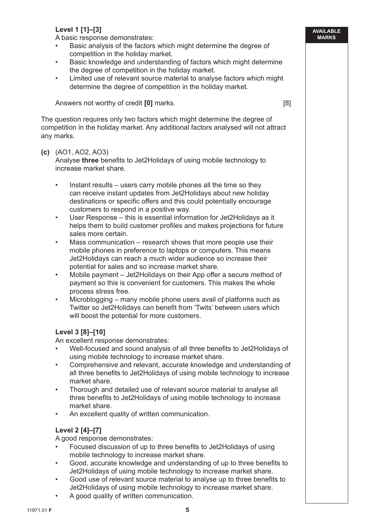# **Level 1 [1]–[3]**

A basic response demonstrates:

- Basic analysis of the factors which might determine the degree of competition in the holiday market.
- Basic knowledge and understanding of factors which might determine the degree of competition in the holiday market.
- Limited use of relevant source material to analyse factors which might determine the degree of competition in the holiday market.

Answers not worthy of credit **[0]** marks. [8]

 The question requires only two factors which might determine the degree of competition in the holiday market. Any additional factors analysed will not attract any marks.

#### **(c)** (AO1, AO2, AO3)

Analyse **three** benefits to Jet2Holidays of using mobile technology to increase market share.

- Instant results users carry mobile phones all the time so they can receive instant updates from Jet2Holidays about new holiday destinations or specific offers and this could potentially encourage customers to respond in a positive way.
- User Response this is essential information for Jet2Holidays as it helps them to build customer profiles and makes projections for future sales more certain.
- Mass communication research shows that more people use their mobile phones in preference to laptops or computers. This means Jet2Holidays can reach a much wider audience so increase their potential for sales and so increase market share.
- Mobile payment Jet2Holidays on their App offer a secure method of payment so this is convenient for customers. This makes the whole process stress free.
- Microblogging many mobile phone users avail of platforms such as Twitter so Jet2Holidays can benefit from 'Twits' between users which will boost the potential for more customers.

# **Level 3 [8]–[10]**

An excellent response demonstrates:

- Well-focused and sound analysis of all three benefits to Jet2Holidays of using mobile technology to increase market share.
- Comprehensive and relevant, accurate knowledge and understanding of all three benefits to Jet2Holidays of using mobile technology to increase market share.
- Thorough and detailed use of relevant source material to analyse all three benefits to Jet2Holidays of using mobile technology to increase market share.
- An excellent quality of written communication.

#### **Level 2 [4]–[7]**

A good response demonstrates:

- Focused discussion of up to three benefits to Jet2Holidays of using mobile technology to increase market share.
- Good, accurate knowledge and understanding of up to three benefits to Jet2Holidays of using mobile technology to increase market share.
- Good use of relevant source material to analyse up to three benefits to Jet2Holidays of using mobile technology to increase market share.
- A good quality of written communication.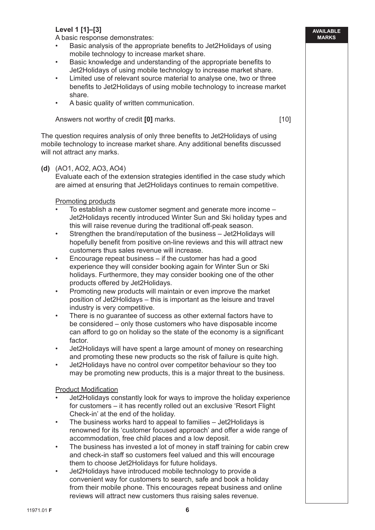# **Level 1 [1]–[3]**

A basic response demonstrates:

- Basic analysis of the appropriate benefits to Jet2Holidays of using mobile technology to increase market share.
- Basic knowledge and understanding of the appropriate benefits to Jet2Holidays of using mobile technology to increase market share.
- Limited use of relevant source material to analyse one, two or three benefits to Jet2Holidays of using mobile technology to increase market share.
- A basic quality of written communication.

Answers not worthy of credit **[0]** marks. [10]

The question requires analysis of only three benefits to Jet2Holidays of using mobile technology to increase market share. Any additional benefits discussed will not attract any marks.

#### **(d)** (AO1, AO2, AO3, AO4)

Evaluate each of the extension strategies identified in the case study which are aimed at ensuring that Jet2Holidays continues to remain competitive.

#### Promoting products

- To establish a new customer segment and generate more income Jet2Holidays recently introduced Winter Sun and Ski holiday types and this will raise revenue during the traditional off-peak season.
- Strengthen the brand/reputation of the business Jet2Holidays will hopefully benefit from positive on-line reviews and this will attract new customers thus sales revenue will increase.
- Encourage repeat business if the customer has had a good experience they will consider booking again for Winter Sun or Ski holidays. Furthermore, they may consider booking one of the other products offered by Jet2Holidays.
- Promoting new products will maintain or even improve the market position of Jet2Holidays – this is important as the leisure and travel industry is very competitive.
- There is no guarantee of success as other external factors have to be considered – only those customers who have disposable income can afford to go on holiday so the state of the economy is a significant factor.
- Jet2Holidays will have spent a large amount of money on researching and promoting these new products so the risk of failure is quite high.
- Jet2Holidays have no control over competitor behaviour so they too may be promoting new products, this is a major threat to the business.

#### **Product Modification**

- Jet2Holidays constantly look for ways to improve the holiday experience for customers – it has recently rolled out an exclusive 'Resort Flight Check-in' at the end of the holiday.
- The business works hard to appeal to families Jet2Holidays is renowned for its 'customer focused approach' and offer a wide range of accommodation, free child places and a low deposit.
- The business has invested a lot of money in staff training for cabin crew and check-in staff so customers feel valued and this will encourage them to choose Jet2Holidays for future holidays.
- Jet2Holidays have introduced mobile technology to provide a convenient way for customers to search, safe and book a holiday from their mobile phone. This encourages repeat business and online reviews will attract new customers thus raising sales revenue.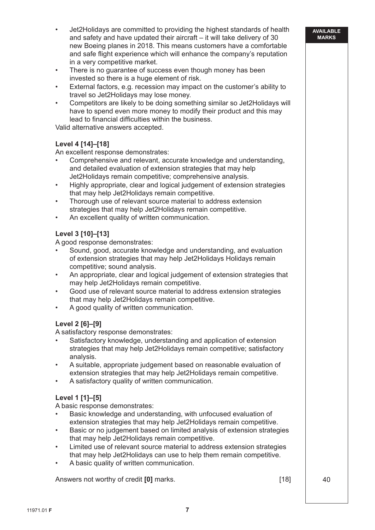- Jet2Holidays are committed to providing the highest standards of health and safety and have updated their aircraft – it will take delivery of 30 new Boeing planes in 2018. This means customers have a comfortable and safe flight experience which will enhance the company's reputation in a very competitive market.
- There is no guarantee of success even though money has been invested so there is a huge element of risk.
- External factors, e.g. recession may impact on the customer's ability to travel so Jet2Holidays may lose money.
- Competitors are likely to be doing something similar so Jet2Holidays will have to spend even more money to modify their product and this may lead to financial difficulties within the business.

Valid alternative answers accepted.

#### **Level 4 [14]–[18]**

An excellent response demonstrates:

- Comprehensive and relevant, accurate knowledge and understanding, and detailed evaluation of extension strategies that may help Jet2Holidays remain competitive; comprehensive analysis.
- Highly appropriate, clear and logical judgement of extension strategies that may help Jet2Holidays remain competitive.
- Thorough use of relevant source material to address extension strategies that may help Jet2Holidays remain competitive.
- An excellent quality of written communication.

#### **Level 3 [10]–[13]**

A good response demonstrates:

- Sound, good, accurate knowledge and understanding, and evaluation of extension strategies that may help Jet2Holidays Holidays remain competitive; sound analysis.
- An appropriate, clear and logical judgement of extension strategies that may help Jet2Holidays remain competitive.
- Good use of relevant source material to address extension strategies that may help Jet2Holidays remain competitive.
- A good quality of written communication.

#### **Level 2 [6]–[9]**

A satisfactory response demonstrates:

- Satisfactory knowledge, understanding and application of extension strategies that may help Jet2Holidays remain competitive; satisfactory analysis.
- A suitable, appropriate judgement based on reasonable evaluation of extension strategies that may help Jet2Holidays remain competitive.
- A satisfactory quality of written communication.

#### **Level 1 [1]–[5]**

A basic response demonstrates:

- Basic knowledge and understanding, with unfocused evaluation of extension strategies that may help Jet2Holidays remain competitive.
- Basic or no judgement based on limited analysis of extension strategies that may help Jet2Holidays remain competitive.
- Limited use of relevant source material to address extension strategies that may help Jet2Holidays can use to help them remain competitive.
- A basic quality of written communication.

Answers not worthy of credit **[0]** marks. [18] 40

#### **AVAILABLE MARKS**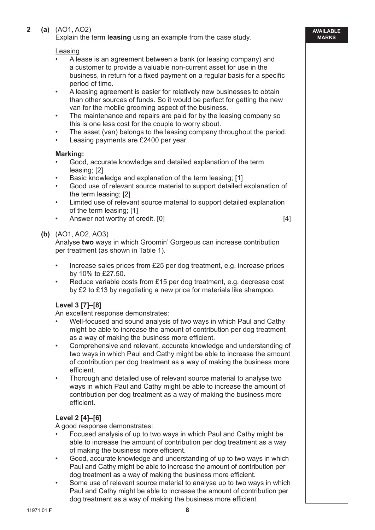#### **2 (a)** (AO1, AO2)

Explain the term **leasing** using an example from the case study.

#### Leasing

- A lease is an agreement between a bank (or leasing company) and a customer to provide a valuable non-current asset for use in the business, in return for a fixed payment on a regular basis for a specific period of time.
- A leasing agreement is easier for relatively new businesses to obtain than other sources of funds. So it would be perfect for getting the new van for the mobile grooming aspect of the business.
- The maintenance and repairs are paid for by the leasing company so this is one less cost for the couple to worry about.
- The asset (van) belongs to the leasing company throughout the period.
- Leasing payments are £2400 per year.

#### **Marking:**

- Good, accurate knowledge and detailed explanation of the term leasing; [2]
- Basic knowledge and explanation of the term leasing; [1]
- Good use of relevant source material to support detailed explanation of the term leasing; [2]
- Limited use of relevant source material to support detailed explanation of the term leasing; [1]
- Answer not worthy of credit. [0] [4]

**AVAILABLE MARKS**

#### **(b)** (AO1, AO2, AO3)

 Analyse **two** ways in which Groomin' Gorgeous can increase contribution per treatment (as shown in Table 1).

- Increase sales prices from £25 per dog treatment, e.g. increase prices by 10% to £27.50.
- Reduce variable costs from £15 per dog treatment, e.g. decrease cost by £2 to £13 by negotiating a new price for materials like shampoo.

# **Level 3 [7]–[8]**

An excellent response demonstrates:

- Well-focused and sound analysis of two ways in which Paul and Cathy might be able to increase the amount of contribution per dog treatment as a way of making the business more efficient.
- Comprehensive and relevant, accurate knowledge and understanding of two ways in which Paul and Cathy might be able to increase the amount of contribution per dog treatment as a way of making the business more efficient.
- Thorough and detailed use of relevant source material to analyse two ways in which Paul and Cathy might be able to increase the amount of contribution per dog treatment as a way of making the business more efficient.

# **Level 2 [4]–[6]**

A good response demonstrates:

- Focused analysis of up to two ways in which Paul and Cathy might be able to increase the amount of contribution per dog treatment as a way of making the business more efficient.
- Good, accurate knowledge and understanding of up to two ways in which Paul and Cathy might be able to increase the amount of contribution per dog treatment as a way of making the business more efficient.
- Some use of relevant source material to analyse up to two ways in which Paul and Cathy might be able to increase the amount of contribution per dog treatment as a way of making the business more efficient.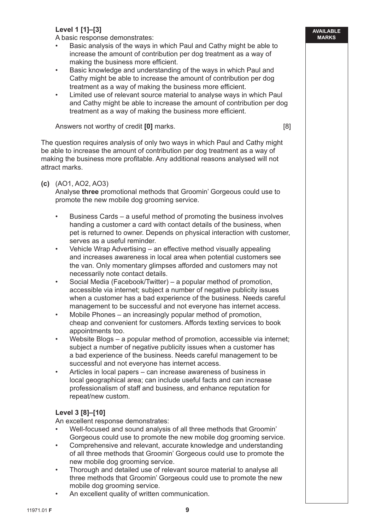# **Level 1 [1]–[3]**

A basic response demonstrates:

- Basic analysis of the ways in which Paul and Cathy might be able to increase the amount of contribution per dog treatment as a way of making the business more efficient.
- Basic knowledge and understanding of the ways in which Paul and Cathy might be able to increase the amount of contribution per dog treatment as a way of making the business more efficient.
- Limited use of relevant source material to analyse ways in which Paul and Cathy might be able to increase the amount of contribution per dog treatment as a way of making the business more efficient.

Answers not worthy of credit **[0]** marks. [8]

 The question requires analysis of only two ways in which Paul and Cathy might be able to increase the amount of contribution per dog treatment as a way of making the business more profitable. Any additional reasons analysed will not attract marks.

#### **(c)** (AO1, AO2, AO3)

 Analyse **three** promotional methods that Groomin' Gorgeous could use to promote the new mobile dog grooming service.

- Business Cards a useful method of promoting the business involves handing a customer a card with contact details of the business, when pet is returned to owner. Depends on physical interaction with customer, serves as a useful reminder.
- Vehicle Wrap Advertising an effective method visually appealing and increases awareness in local area when potential customers see the van. Only momentary glimpses afforded and customers may not necessarily note contact details.
- Social Media (Facebook/Twitter) a popular method of promotion, accessible via internet; subject a number of negative publicity issues when a customer has a bad experience of the business. Needs careful management to be successful and not everyone has internet access.
- Mobile Phones an increasingly popular method of promotion, cheap and convenient for customers. Affords texting services to book appointments too.
- Website Blogs a popular method of promotion, accessible via internet; subject a number of negative publicity issues when a customer has a bad experience of the business. Needs careful management to be successful and not everyone has internet access.
- Articles in local papers can increase awareness of business in local geographical area; can include useful facts and can increase professionalism of staff and business, and enhance reputation for repeat/new custom.

#### **Level 3 [8]–[10]**

An excellent response demonstrates:

- Well-focused and sound analysis of all three methods that Groomin' Gorgeous could use to promote the new mobile dog grooming service.
- Comprehensive and relevant, accurate knowledge and understanding of all three methods that Groomin' Gorgeous could use to promote the new mobile dog grooming service.
- Thorough and detailed use of relevant source material to analyse all three methods that Groomin' Gorgeous could use to promote the new mobile dog grooming service.
- An excellent quality of written communication.

#### **AVAILABLE MARKS**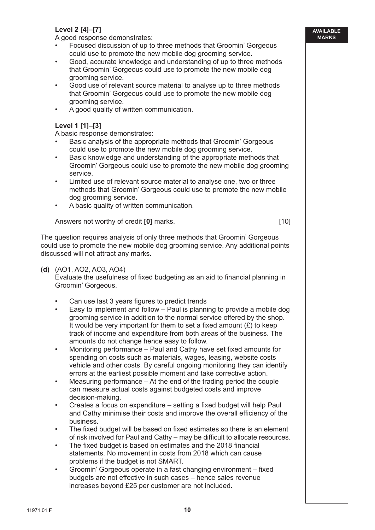# **Level 2 [4]–[7]**

A good response demonstrates:

- Focused discussion of up to three methods that Groomin' Gorgeous could use to promote the new mobile dog grooming service.
- Good, accurate knowledge and understanding of up to three methods that Groomin' Gorgeous could use to promote the new mobile dog grooming service.
- Good use of relevant source material to analyse up to three methods that Groomin' Gorgeous could use to promote the new mobile dog grooming service.
- A good quality of written communication.

### **Level 1 [1]–[3]**

A basic response demonstrates:

- Basic analysis of the appropriate methods that Groomin' Gorgeous could use to promote the new mobile dog grooming service.
- Basic knowledge and understanding of the appropriate methods that Groomin' Gorgeous could use to promote the new mobile dog grooming service.
- Limited use of relevant source material to analyse one, two or three methods that Groomin' Gorgeous could use to promote the new mobile dog grooming service.
- A basic quality of written communication.

Answers not worthy of credit **[0]** marks. [10]

 The question requires analysis of only three methods that Groomin' Gorgeous could use to promote the new mobile dog grooming service. Any additional points discussed will not attract any marks.

#### **(d)** (AO1, AO2, AO3, AO4)

Evaluate the usefulness of fixed budgeting as an aid to financial planning in Groomin' Gorgeous.

- Can use last 3 years figures to predict trends
- Easy to implement and follow Paul is planning to provide a mobile dog grooming service in addition to the normal service offered by the shop. It would be very important for them to set a fixed amount  $(E)$  to keep track of income and expenditure from both areas of the business. The amounts do not change hence easy to follow.
- Monitoring performance Paul and Cathy have set fixed amounts for spending on costs such as materials, wages, leasing, website costs vehicle and other costs. By careful ongoing monitoring they can identify errors at the earliest possible moment and take corrective action.
- Measuring performance At the end of the trading period the couple can measure actual costs against budgeted costs and improve decision-making.
- Creates a focus on expenditure setting a fixed budget will help Paul and Cathy minimise their costs and improve the overall efficiency of the business.
- The fixed budget will be based on fixed estimates so there is an element of risk involved for Paul and Cathy – may be difficult to allocate resources.
- The fixed budget is based on estimates and the 2018 financial statements. No movement in costs from 2018 which can cause problems if the budget is not SMART.
- Groomin' Gorgeous operate in a fast changing environment fixed budgets are not effective in such cases – hence sales revenue increases beyond £25 per customer are not included.